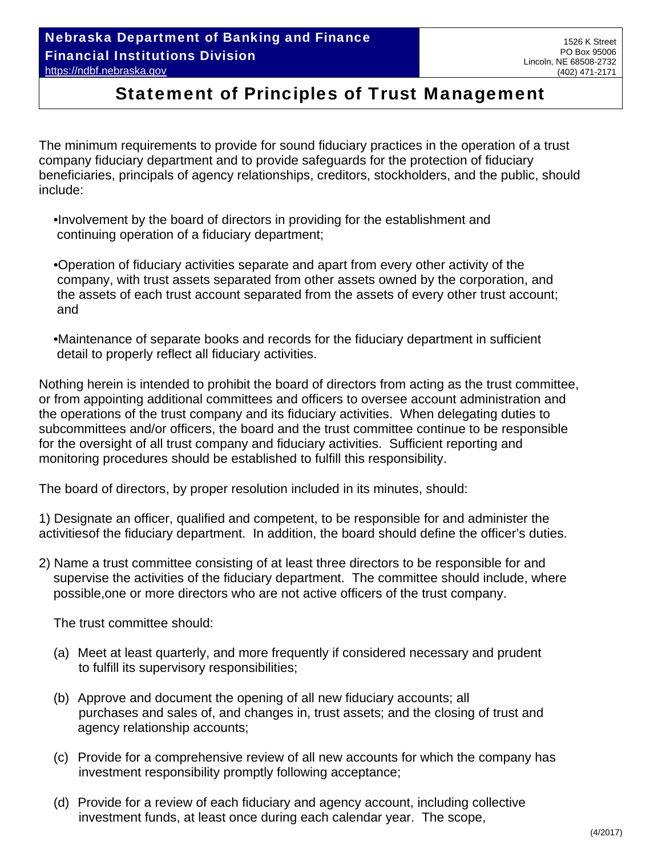## Statement of Principles of Trust Management

The minimum requirements to provide for sound fiduciary practices in the operation of a trust company fiduciary department and to provide safeguards for the protection of fiduciary beneficiaries, principals of agency relationships, creditors, stockholders, and the public, should include:

- •Involvement by the board of directors in providing for the establishment and continuing operation of a fiduciary department;
- •Operation of fiduciary activities separate and apart from every other activity of the company, with trust assets separated from other assets owned by the corporation, and the assets of each trust account separated from the assets of every other trust account; and
- •Maintenance of separate books and records for the fiduciary department in sufficient detail to properly reflect all fiduciary activities.

Nothing herein is intended to prohibit the board of directors from acting as the trust committee, or from appointing additional committees and officers to oversee account administration and the operations of the trust company and its fiduciary activities. When delegating duties to subcommittees and/or officers, the board and the trust committee continue to be responsible for the oversight of all trust company and fiduciary activities. Sufficient reporting and monitoring procedures should be established to fulfill this responsibility.

The board of directors, by proper resolution included in its minutes, should:

1) Designate an officer, qualified and competent, to be responsible for and administer the activitiesof the fiduciary department. In addition, the board should define the officer's duties.

2) Name a trust committee consisting of at least three directors to be responsible for and supervise the activities of the fiduciary department. The committee should include, where possible,one or more directors who are not active officers of the trust company.

The trust committee should:

- (a) Meet at least quarterly, and more frequently if considered necessary and prudent to fulfill its supervisory responsibilities;
- (b) Approve and document the opening of all new fiduciary accounts; all purchases and sales of, and changes in, trust assets; and the closing of trust and agency relationship accounts;
- (c) Provide for a comprehensive review of all new accounts for which the company has investment responsibility promptly following acceptance;
- (d) Provide for a review of each fiduciary and agency account, including collective investment funds, at least once during each calendar year. The scope,